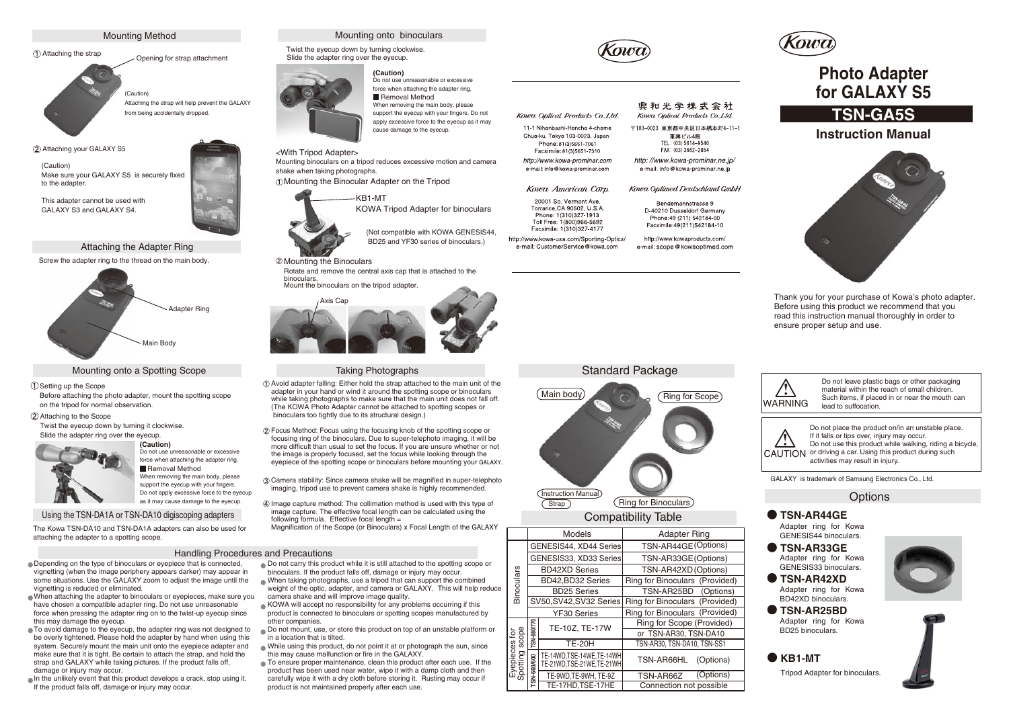

# Attaching the strap Opening for strap attachment



Attaching the strap will help prevent the GALAXY from being accidentally dropped.

Attaching your GALAXY S5

(Caution) Make sure your GALAXY S5 is securely fixed to the adapter

This adapter cannot be used with GALAXY S3 and GALAXY S4.

#### Attaching the Adapter Ring

Screw the adapter ring to the thread on the main body.



#### Mounting onto a Spotting Scope

Do not use unreasonable or excessive force when attaching the adapter ring. Removal Method When removing the main body, please support the eyecup with your fingers. Do not apply excessive force to the eyecup as it may cause damage to the eyecup.

#### Setting up the Scope

Before attaching the photo adapter, mount the spotting scope on the tripod for normal observation.

#### Attaching to the Scope

Twist the eyecup down by turning it clockwise. Slide the adapter ring over the eyecup. **(Caution)**



#### Using the TSN-DA1A or TSN-DA10 digiscoping adapters

The Kowa TSN-DA10 and TSN-DA1A adapters can also be used for attaching the adapter to a spotting scope.

#### Handling Procedures and Precautions

Depending on the type of binoculars or eyepiece that is connected, vignetting (when the image periphery appears darker) may appear in some situations. Use the GALAXY zoom to adjust the image until the vignetting is reduced or eliminated.

When attaching the adapter to binoculars or eyepieces, make sure you have chosen a compatible adapter ring. Do not use unreasonable force when pressing the adapter ring on to the twist-up eyecup since this may damage the eyecup.

To avoid damage to the eyecup, the adapter ring was not designed to be overly tightened. Please hold the adapter by hand when using this system. Securely mount the main unit onto the eyepiece adapter and make sure that it is tight. Be certain to attach the strap, and hold the strap and GALAXY while taking pictures. If the product falls off, damage or injury may occur.

In the unlikely event that this product develops a crack, stop using it. If the product falls off, damage or injury may occur.



Twist the eyecup down by turning clockwise. Slide the adapter ring over the eyecup.



force when attaching the adapter ring. Removal Method When removing the main body, please support the eyecup with your fingers. Do not apply excessive force to the eyecup as it may cause damage to the eyecup.

# <With Tripod Adapter>

Mounting binoculars on a tripod reduces excessive motion and camera shake when taking photographs.

Mounting the Binocular Adapter on the Tripod



BD25 and YF30 series of binoculars.)

#### Mounting the Binoculars

Rotate and remove the central axis cap that is attached to the binoculars. Mount the binoculars on the tripod adapter.



### Taking Photographs

- Avoid adapter falling: Either hold the strap attached to the main unit of the adapter in your hand or wind it around the spotting scope or binoculars while taking photographs to make sure that the main unit does not fall off. (The KOWA Photo Adapter cannot be attached to spotting scopes or binoculars too tightly due to its structural design.)
- Focus Method: Focus using the focusing knob of the spotting scope or focusing ring of the binoculars. Due to super-telephoto imaging, it will be more difficult than usual to set the focus. If you are unsure whether or not the image is properly focused, set the focus while looking through the eyepiece of the spotting scope or binoculars before mounting your GALAXY.
- Camera stability: Since camera shake will be magnified in super-telephoto imaging, tripod use to prevent camera shake is highly recommended.
- Image capture method: The collimation method is used with this type of image capture. The effective focal length can be calculated using the following formula. Effective focal length =
- Magnification of the Scope (or Binoculars) x Focal Length of the GALAXY

- Do not carry this product while it is still attached to the spotting scope or binoculars. If the product falls off, damage or injury may occur.
- When taking photographs, use a tripod that can support the combined weight of the optic, adapter, and camera or GALAXY. This will help reduce camera shake and will improve image quality.
- KOWA will accept no responsibility for any problems occurring if this product is connected to binoculars or spotting scopes manufactured by other companies.
- Do not mount, use, or store this product on top of an unstable platform or in a location that is tilted.
- While using this product, do not point it at or photograph the sun, since this may cause malfunction or fire in the GALAXY.
- To ensure proper maintenance, clean this product after each use. If the product has been used near water, wipe it with a damp cloth and then carefully wipe it with a dry cloth before storing it. Rusting may occur if product is not maintained properly after each use.



Kowa Optical Products Co. Ltd.

11-1 Nihonhashi-Honcho 4-chome Chuo-ku. Tokyo 103-0023, Japan

Phone: 81(3)5651-7061

Facsimile: 81(3)5651-7310

http://www.kowa-prominar.com

e-mail: info@kowa-prominar.com

Kowa American Corp.

20001 So. Vermont Ave.

Torrance, CA 90502, U.S.A.

Phone: 1(310)327-1913

Toll Free: 1/800)966-5692

Facsimile: 1/310)327-4177 http://www.kowa-usa.com/Sporting-Optics/

e-mail: CustomerService@kowa.com

#### 興和光学株式会社 Kowa Optical Products Co. Ltd.

〒103-0023 東京都中央区日本橋本町4-11-1 東興ビル4階 TFL: (03) 5614-9540 EAX: (03) 3662-2854

http://www.kowa-prominar.ne.jp/ e-mail: info@kowa-prominar.ne.jp

Kowa Optimed Deutschland GmbH

Bendemannstrasse 9 D-40210 Dusseldorf Germany Phone: 49 (211) 542184-00 Facsimile:49(211)542184-10

http://www.kowaproducts.com/ e-mail: scope@kowaoptimed.com



# **Photo Adapter for GALAXY S5**

# **TSN-GA5S**

## **Instruction Manual**



Thank you for your purchase of Kowa's photo adapter. Before using this product we recommend that you read this instruction manual thoroughly in order to ensure proper setup and use.



Compatibility Table

|                                  | Models                  |                                                        | <b>Adapter Ring</b>            |
|----------------------------------|-------------------------|--------------------------------------------------------|--------------------------------|
| Binoculars                       | GENESIS44, XD44 Series  |                                                        | TSN-AR44GE(Options)            |
|                                  | GENESIS33, XD33 Series  |                                                        | TSN-AR33GE(Options)            |
|                                  | <b>BD42XD Series</b>    |                                                        | TSN-AR42XD (Options)           |
|                                  | BD42, BD32 Series       |                                                        | Ring for Binoculars (Provided) |
|                                  | <b>BD25 Series</b>      |                                                        | TSN-AR25BD (Options)           |
|                                  | SV50, SV42, SV32 Series |                                                        | Ring for Binoculars (Provided) |
|                                  | <b>YF30 Series</b>      |                                                        | Ring for Binoculars (Provided) |
| scope<br>sea<br>Eyer<br>Spotting | TSN-880/770             | TE-10Z. TE-17W                                         | Ring for Scope (Provided)      |
|                                  |                         |                                                        | or TSN-AR30, TSN-DA10          |
|                                  |                         | <b>TE-20H</b>                                          | TSN-AR30. TSN-DA10. TSN-SS1    |
|                                  | TSN-660/600             | TE-14WD,TSE-14WE,TE-14WH<br>TE-21WD, TSE-21WE, TE-21WH | TSN-AR66HL<br>(Options)        |
|                                  |                         | TE-9WD.TE-9WH.TE-9Z                                    | (Options)<br>TSN-AR66Z         |
|                                  |                         | TE-17HD.TSE-17HE                                       | Connection not possible        |

**WARNING** Do not leave plastic bags or other packaging material within the reach of small children. Such items, if placed in or near the mouth can lead to suffocation.

CAUTION or driving a car. Using this product during such Do not place the product on/in an unstable place. If it falls or tips over, injury may occur. Do not use this product while walking, riding a bicycle, activities may result in injury.

GALAXY is trademark of Samsung Electronics Co., Ltd.

### **Options**

# **TSN-AR44GE**

Adapter ring for Kowa GENESIS44 binoculars.

- **TSN-AR33GE** Adapter ring for Kowa GENESIS33 binoculars.
- **TSN-AR42XD** Adapter ring for Kowa BD42XD binoculars.
- **TSN-AR25BD** Adapter ring for Kowa BD25 binoculars.



Tripod Adapter for binoculars.